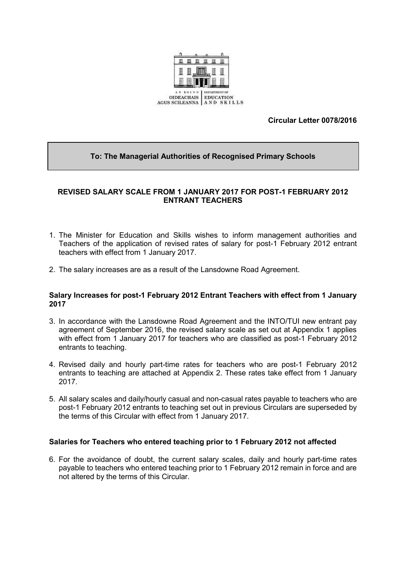

## **Circular Letter 0078/2016**

## **To: The Managerial Authorities of Recognised Primary Schools**

## **REVISED SALARY SCALE FROM 1 JANUARY 2017 FOR POST-1 FEBRUARY 2012 ENTRANT TEACHERS**

- 1. The Minister for Education and Skills wishes to inform management authorities and Teachers of the application of revised rates of salary for post-1 February 2012 entrant teachers with effect from 1 January 2017.
- 2. The salary increases are as a result of the Lansdowne Road Agreement.

#### **Salary Increases for post-1 February 2012 Entrant Teachers with effect from 1 January 2017**

- 3. In accordance with the Lansdowne Road Agreement and the INTO/TUI new entrant pay agreement of September 2016, the revised salary scale as set out at Appendix 1 applies with effect from 1 January 2017 for teachers who are classified as post-1 February 2012 entrants to teaching.
- 4. Revised daily and hourly part-time rates for teachers who are post-1 February 2012 entrants to teaching are attached at Appendix 2. These rates take effect from 1 January 2017.
- 5. All salary scales and daily/hourly casual and non-casual rates payable to teachers who are post-1 February 2012 entrants to teaching set out in previous Circulars are superseded by the terms of this Circular with effect from 1 January 2017.

## **Salaries for Teachers who entered teaching prior to 1 February 2012 not affected**

6. For the avoidance of doubt, the current salary scales, daily and hourly part-time rates payable to teachers who entered teaching prior to 1 February 2012 remain in force and are not altered by the terms of this Circular.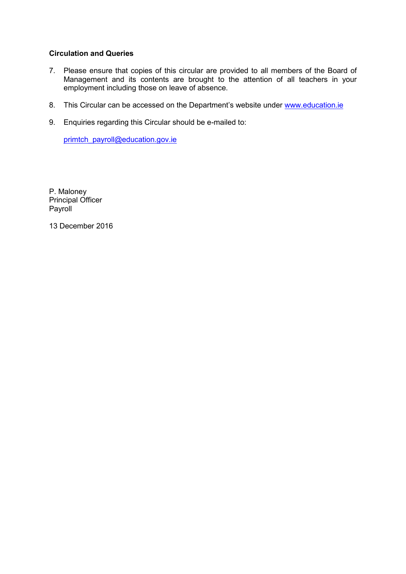## **Circulation and Queries**

- 7. Please ensure that copies of this circular are provided to all members of the Board of Management and its contents are brought to the attention of all teachers in your employment including those on leave of absence.
- 8. This Circular can be accessed on the Department's website under www.education.ie
- 9. Enquiries regarding this Circular should be e-mailed to:

[primtch\\_payroll@education.gov.ie](mailto:primtch_payroll@education.gov.ie)

P. Maloney Principal Officer Payroll

13 December 2016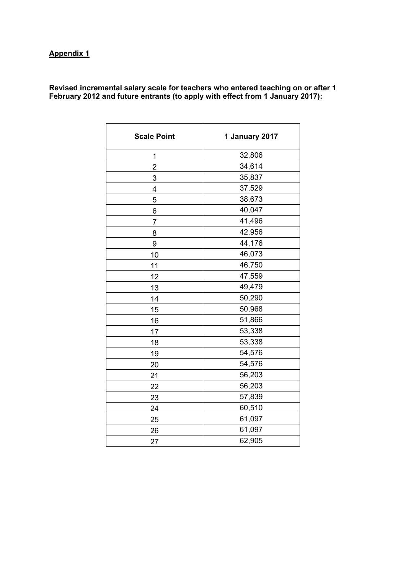# **Appendix 1**

**Revised incremental salary scale for teachers who entered teaching on or after 1 February 2012 and future entrants (to apply with effect from 1 January 2017):**

| <b>Scale Point</b> | 1 January 2017 |  |
|--------------------|----------------|--|
| 1                  | 32,806         |  |
| $\overline{2}$     | 34,614         |  |
| 3                  | 35,837         |  |
| 4                  | 37,529         |  |
| 5                  | 38,673         |  |
| 6                  | 40,047         |  |
| 7                  | 41,496         |  |
| 8                  | 42,956         |  |
| 9                  | 44,176         |  |
| 10                 | 46,073         |  |
| 11                 | 46,750         |  |
| 12                 | 47,559         |  |
| 13                 | 49,479         |  |
| 14                 | 50,290         |  |
| 15                 | 50,968         |  |
| 16                 | 51,866         |  |
| 17                 | 53,338         |  |
| 18                 | 53,338         |  |
| 19                 | 54,576         |  |
| 20                 | 54,576         |  |
| 21                 | 56,203         |  |
| 22                 | 56,203         |  |
| 23                 | 57,839         |  |
| 24                 | 60,510         |  |
| 25                 | 61,097         |  |
| 26                 | 61,097         |  |
| 27                 | 62,905         |  |